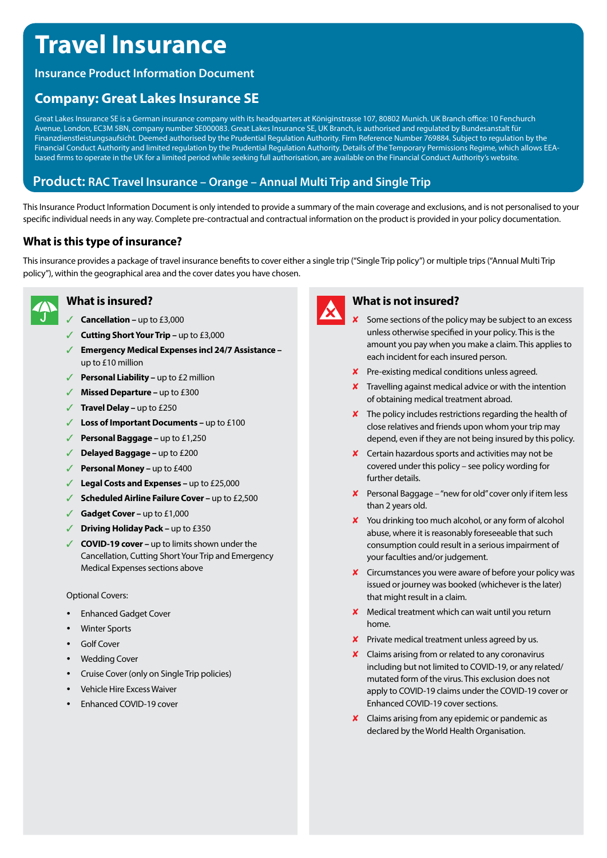# **Travel Insurance**

## **Insurance Product Information Document**

# **Company: Great Lakes Insurance SE**

Great Lakes Insurance SE is a German insurance company with its headquarters at Königinstrasse 107, 80802 Munich. UK Branch office: 10 Fenchurch Avenue, London, EC3M 5BN, company number SE000083. Great Lakes Insurance SE, UK Branch, is authorised and regulated by Bundesanstalt für Finanzdienstleistungsaufsicht. Deemed authorised by the Prudential Regulation Authority. Firm Reference Number 769884. Subject to regulation by the Financial Conduct Authority and limited regulation by the Prudential Regulation Authority. Details of the Temporary Permissions Regime, which allows EEAbased firms to operate in the UK for a limited period while seeking full authorisation, are available on the Financial Conduct Authority's website.

# **Product: RAC Travel Insurance – Orange – Annual Multi Trip and Single Trip**

This Insurance Product Information Document is only intended to provide a summary of the main coverage and exclusions, and is not personalised to your specific individual needs in any way. Complete pre-contractual and contractual information on the product is provided in your policy documentation.

## **What is this type of insurance?**

This insurance provides a package of travel insurance benefits to cover either a single trip ("Single Trip policy") or multiple trips ("Annual Multi Trip policy"), within the geographical area and the cover dates you have chosen.



## **What is insured?**

- ✓ **Cancellation** up to £3,000
- ✓ **Cutting Short Your Trip** up to £3,000
- ✓ **Emergency Medical Expenses incl 24/7 Assistance**  up to £10 million
- ✓ **Personal Liability** up to £2 million
- ✓ **Missed Departure** up to £300
- ✓ **Travel Delay** up to £250
- ✓ **Loss of Important Documents** up to £100
- ✓ **Personal Baggage –** up to £1,250
- ✓ **Delayed Baggage** up to £200
- ✓ **Personal Money** up to £400
- ✓ **Legal Costs and Expenses** up to £25,000
- ✓ **Scheduled Airline Failure Cover** up to £2,500
- ✓ **Gadget Cover** up to £1,000
- ✓ **Driving Holiday Pack** up to £350
- ✓ **COVID-19 cover** up to limits shown under the Cancellation, Cutting Short Your Trip and Emergency Medical Expenses sections above

#### Optional Covers:

- Enhanced Gadget Cover
- **Winter Sports**
- Golf Cover
- **Wedding Cover**
- y Cruise Cover (only on Single Trip policies)
- y Vehicle Hire Excess Waiver
- y Enhanced COVID-19 cover



## **What is not insured?**

- Some sections of the policy may be subject to an excess unless otherwise specified in your policy. This is the amount you pay when you make a claim. This applies to each incident for each insured person.
- ✘ Pre-existing medical conditions unless agreed.
- ✘ Travelling against medical advice or with the intention of obtaining medical treatment abroad.
- ✘ The policy includes restrictions regarding the health of close relatives and friends upon whom your trip may depend, even if they are not being insured by this policy.
- ✘ Certain hazardous sports and activities may not be covered under this policy – see policy wording for further details.
- ✘ Personal Baggage "new for old" cover only if item less than 2 years old.
- ✘ You drinking too much alcohol, or any form of alcohol abuse, where it is reasonably foreseeable that such consumption could result in a serious impairment of your faculties and/or judgement.
- ✘ Circumstances you were aware of before your policy was issued or journey was booked (whichever is the later) that might result in a claim.
- ✘ Medical treatment which can wait until you return home.
- $\times$  Private medical treatment unless agreed by us.
- ✘ Claims arising from or related to any coronavirus including but not limited to COVID-19, or any related/ mutated form of the virus. This exclusion does not apply to COVID-19 claims under the COVID-19 cover or Enhanced COVID-19 cover sections.
- ✘ Claims arising from any epidemic or pandemic as declared by the World Health Organisation.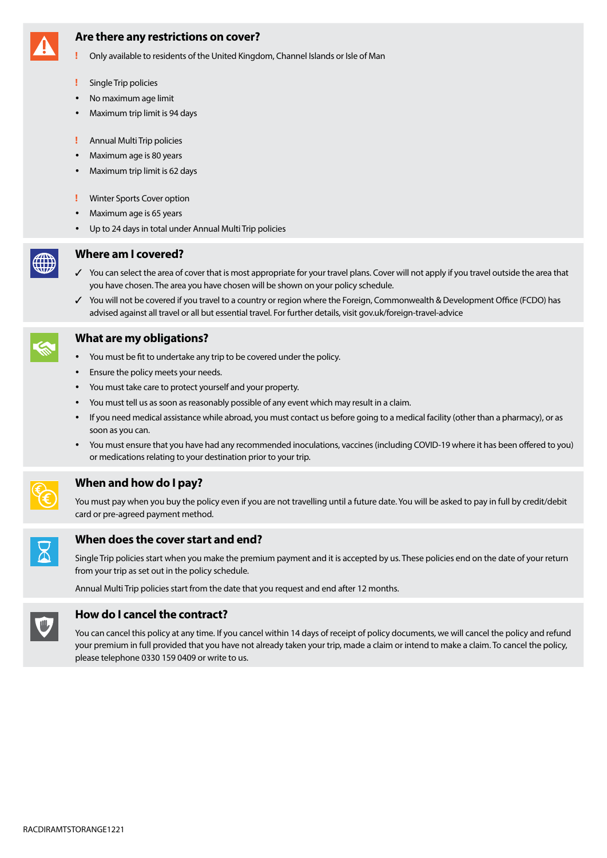

### **Are there any restrictions on cover?**

- **!** Only available to residents of the United Kingdom, Channel Islands or Isle of Man
- **!** Single Trip policies
- No maximum age limit
- y Maximum trip limit is 94 days
- **!** Annual Multi Trip policies
- Maximum age is 80 years
- Maximum trip limit is 62 days
- **!** Winter Sports Cover option
- Maximum age is 65 years
- Up to 24 days in total under Annual Multi Trip policies



#### **Where am I covered?**

- ✓ You can select the area of cover that is most appropriate for your travel plans. Cover will not apply if you travel outside the area that you have chosen. The area you have chosen will be shown on your policy schedule.
- ✓ You will not be covered if you travel to a country or region where the Foreign, Commonwealth & Development Office (FCDO) has advised against all travel or all but essential travel. For further details, visit gov.uk/foreign-travel-advice



#### **What are my obligations?**

- You must be fit to undertake any trip to be covered under the policy.
- Ensure the policy meets your needs.
- You must take care to protect yourself and your property.
- You must tell us as soon as reasonably possible of any event which may result in a claim.
- If you need medical assistance while abroad, you must contact us before going to a medical facility (other than a pharmacy), or as soon as you can.
- y You must ensure that you have had any recommended inoculations, vaccines (including COVID-19 where it has been offered to you) or medications relating to your destination prior to your trip.



#### **When and how do I pay?**

You must pay when you buy the policy even if you are not travelling until a future date. You will be asked to pay in full by credit/debit card or pre-agreed payment method.



#### **When does the cover start and end?**

Single Trip policies start when you make the premium payment and it is accepted by us. These policies end on the date of your return from your trip as set out in the policy schedule.

Annual Multi Trip policies start from the date that you request and end after 12 months.



## **How do I cancel the contract?**

You can cancel this policy at any time. If you cancel within 14 days of receipt of policy documents, we will cancel the policy and refund your premium in full provided that you have not already taken your trip, made a claim or intend to make a claim. To cancel the policy, please telephone 0330 159 0409 or write to us.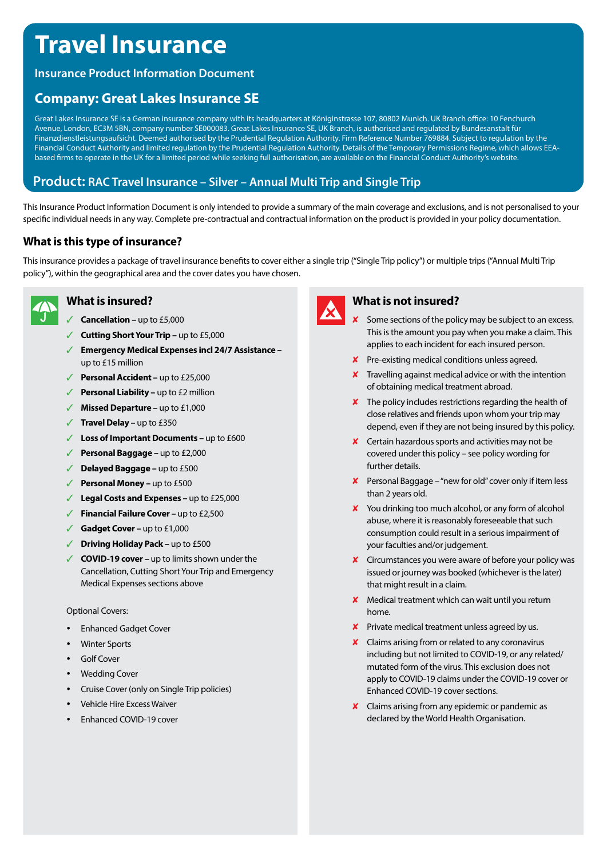# **Travel Insurance**

## **Insurance Product Information Document**

# **Company: Great Lakes Insurance SE**

Great Lakes Insurance SE is a German insurance company with its headquarters at Königinstrasse 107, 80802 Munich. UK Branch office: 10 Fenchurch Avenue, London, EC3M 5BN, company number SE000083. Great Lakes Insurance SE, UK Branch, is authorised and regulated by Bundesanstalt für Finanzdienstleistungsaufsicht. Deemed authorised by the Prudential Regulation Authority. Firm Reference Number 769884. Subject to regulation by the Financial Conduct Authority and limited regulation by the Prudential Regulation Authority. Details of the Temporary Permissions Regime, which allows EEAbased firms to operate in the UK for a limited period while seeking full authorisation, are available on the Financial Conduct Authority's website.

# **Product: RAC Travel Insurance – Silver – Annual Multi Trip and Single Trip**

This Insurance Product Information Document is only intended to provide a summary of the main coverage and exclusions, and is not personalised to your specific individual needs in any way. Complete pre-contractual and contractual information on the product is provided in your policy documentation.

## **What is this type of insurance?**

This insurance provides a package of travel insurance benefits to cover either a single trip ("Single Trip policy") or multiple trips ("Annual Multi Trip policy"), within the geographical area and the cover dates you have chosen.



## **What is insured?**

- ✓ **Cancellation** up to £5,000
- ✓ **Cutting Short Your Trip** up to £5,000
- ✓ **Emergency Medical Expenses incl 24/7 Assistance**  up to £15 million
- ✓ **Personal Accident** up to £25,000
- ✓ **Personal Liability** up to £2 million
- ✓ **Missed Departure** up to £1,000
- ✓ **Travel Delay** up to £350
- ✓ **Loss of Important Documents** up to £600
- ✓ **Personal Baggage** up to £2,000
- ✓ **Delayed Baggage** up to £500
- ✓ **Personal Money** up to £500
- ✓ **Legal Costs and Expenses** up to £25,000
- ✓ **Financial Failure Cover** up to £2,500
- ✓ **Gadget Cover** up to £1,000
- ✓ **Driving Holiday Pack** up to £500
- ✓ **COVID-19 cover** up to limits shown under the Cancellation, Cutting Short Your Trip and Emergency Medical Expenses sections above

#### Optional Covers:

- Enhanced Gadget Cover
- Winter Sports
- Golf Cover
- **Wedding Cover**
- Cruise Cover (only on Single Trip policies)
- y Vehicle Hire Excess Waiver
- y Enhanced COVID-19 cover



## **What is not insured?**

- Some sections of the policy may be subject to an excess. This is the amount you pay when you make a claim. This applies to each incident for each insured person.
- ✘ Pre-existing medical conditions unless agreed.
- ✘ Travelling against medical advice or with the intention of obtaining medical treatment abroad.
- ✘ The policy includes restrictions regarding the health of close relatives and friends upon whom your trip may depend, even if they are not being insured by this policy.
- ✘ Certain hazardous sports and activities may not be covered under this policy – see policy wording for further details.
- ✘ Personal Baggage "new for old" cover only if item less than 2 years old.
- ✘ You drinking too much alcohol, or any form of alcohol abuse, where it is reasonably foreseeable that such consumption could result in a serious impairment of your faculties and/or judgement.
- ✘ Circumstances you were aware of before your policy was issued or journey was booked (whichever is the later) that might result in a claim.
- ✘ Medical treatment which can wait until you return home.
- ✘ Private medical treatment unless agreed by us.
- ✘ Claims arising from or related to any coronavirus including but not limited to COVID-19, or any related/ mutated form of the virus. This exclusion does not apply to COVID-19 claims under the COVID-19 cover or Enhanced COVID-19 cover sections.
- Claims arising from any epidemic or pandemic as declared by the World Health Organisation.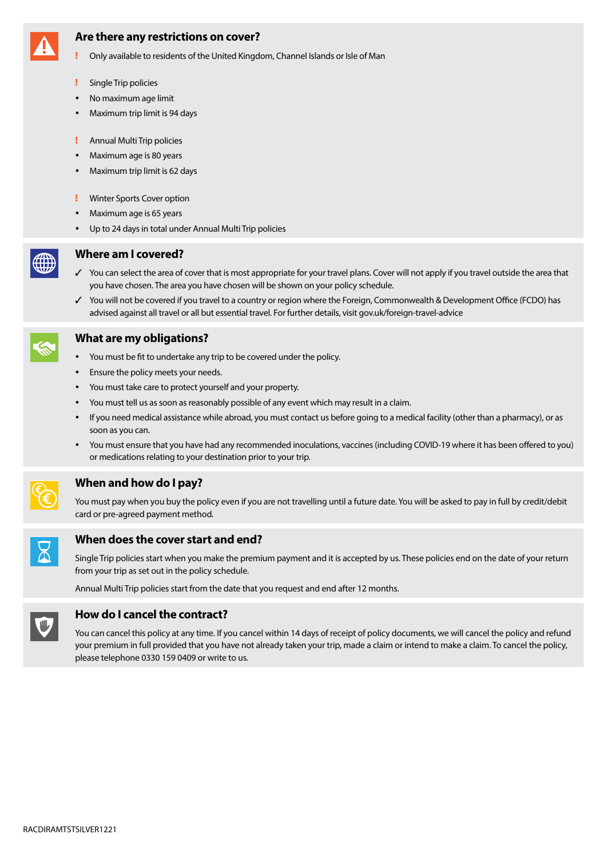

### **Are there any restrictions on cover?**

- **!** Only available to residents of the United Kingdom, Channel Islands or Isle of Man
- **!** Single Trip policies
- No maximum age limit
- y Maximum trip limit is 94 days
- **!** Annual Multi Trip policies
- Maximum age is 80 years
- Maximum trip limit is 62 days
- **!** Winter Sports Cover option
- Maximum age is 65 years
- Up to 24 days in total under Annual Multi Trip policies



#### **Where am I covered?**

- ✓ You can select the area of cover that is most appropriate for your travel plans. Cover will not apply if you travel outside the area that you have chosen. The area you have chosen will be shown on your policy schedule.
- ✓ You will not be covered if you travel to a country or region where the Foreign, Commonwealth & Development Office (FCDO) has advised against all travel or all but essential travel. For further details, visit gov.uk/foreign-travel-advice



#### **What are my obligations?**

- You must be fit to undertake any trip to be covered under the policy.
- Ensure the policy meets your needs.
- You must take care to protect yourself and your property.
- You must tell us as soon as reasonably possible of any event which may result in a claim.
- If you need medical assistance while abroad, you must contact us before going to a medical facility (other than a pharmacy), or as soon as you can.
- y You must ensure that you have had any recommended inoculations, vaccines (including COVID-19 where it has been offered to you) or medications relating to your destination prior to your trip.



#### **When and how do I pay?**

You must pay when you buy the policy even if you are not travelling until a future date. You will be asked to pay in full by credit/debit card or pre-agreed payment method.



#### **When does the cover start and end?**

Single Trip policies start when you make the premium payment and it is accepted by us. These policies end on the date of your return from your trip as set out in the policy schedule.

Annual Multi Trip policies start from the date that you request and end after 12 months.



## **How do I cancel the contract?**

You can cancel this policy at any time. If you cancel within 14 days of receipt of policy documents, we will cancel the policy and refund your premium in full provided that you have not already taken your trip, made a claim or intend to make a claim. To cancel the policy, please telephone 0330 159 0409 or write to us.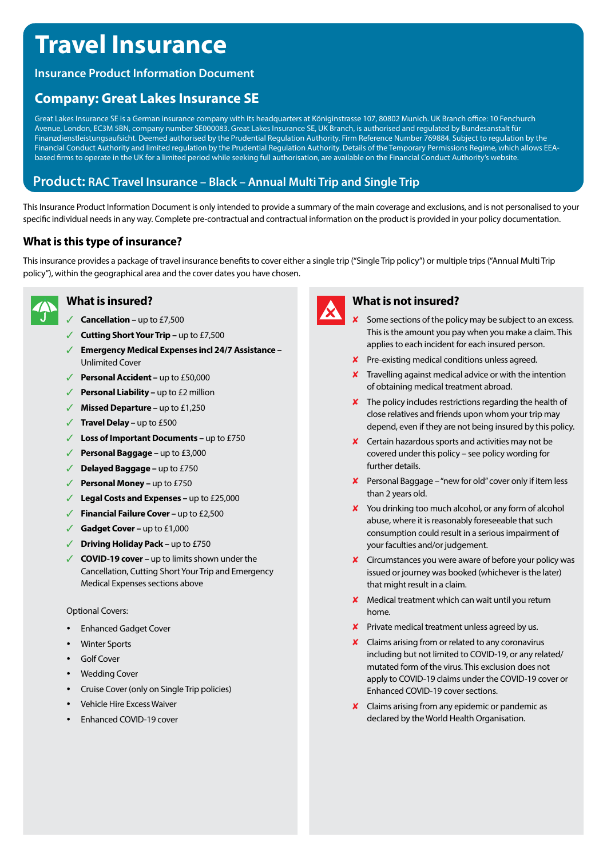# **Travel Insurance**

# **Insurance Product Information Document**

# **Company: Great Lakes Insurance SE**

Great Lakes Insurance SE is a German insurance company with its headquarters at Königinstrasse 107, 80802 Munich. UK Branch office: 10 Fenchurch Avenue, London, EC3M 5BN, company number SE000083. Great Lakes Insurance SE, UK Branch, is authorised and regulated by Bundesanstalt für Finanzdienstleistungsaufsicht. Deemed authorised by the Prudential Regulation Authority. Firm Reference Number 769884. Subject to regulation by the Financial Conduct Authority and limited regulation by the Prudential Regulation Authority. Details of the Temporary Permissions Regime, which allows EEAbased firms to operate in the UK for a limited period while seeking full authorisation, are available on the Financial Conduct Authority's website.

# **Product: RAC Travel Insurance – Black – Annual Multi Trip and Single Trip**

This Insurance Product Information Document is only intended to provide a summary of the main coverage and exclusions, and is not personalised to your specific individual needs in any way. Complete pre-contractual and contractual information on the product is provided in your policy documentation.

## **What is this type of insurance?**

This insurance provides a package of travel insurance benefits to cover either a single trip ("Single Trip policy") or multiple trips ("Annual Multi Trip policy"), within the geographical area and the cover dates you have chosen.



## **What is insured?**

- ✓ **Cancellation** up to £7,500
- ✓ **Cutting Short Your Trip** up to £7,500
- ✓ **Emergency Medical Expenses incl 24/7 Assistance**  Unlimited Cover
- ✓ **Personal Accident** up to £50,000
- ✓ **Personal Liability** up to £2 million
- ✓ **Missed Departure** up to £1,250
- ✓ **Travel Delay** up to £500
- ✓ **Loss of Important Documents** up to £750
- ✓ **Personal Baggage** up to £3,000
- ✓ **Delayed Baggage** up to £750
- ✓ **Personal Money** up to £750
- ✓ **Legal Costs and Expenses** up to £25,000
- ✓ **Financial Failure Cover** up to £2,500
- ✓ **Gadget Cover** up to £1,000
- ✓ **Driving Holiday Pack** up to £750
- ✓ **COVID-19 cover** up to limits shown under the Cancellation, Cutting Short Your Trip and Emergency Medical Expenses sections above

#### Optional Covers:

- Enhanced Gadget Cover
- Winter Sports
- Golf Cover
- **Wedding Cover**
- Cruise Cover (only on Single Trip policies)
- y Vehicle Hire Excess Waiver
- y Enhanced COVID-19 cover



## **What is not insured?**

- Some sections of the policy may be subject to an excess. This is the amount you pay when you make a claim. This applies to each incident for each insured person.
- ✘ Pre-existing medical conditions unless agreed.
- ✘ Travelling against medical advice or with the intention of obtaining medical treatment abroad.
- ✘ The policy includes restrictions regarding the health of close relatives and friends upon whom your trip may depend, even if they are not being insured by this policy.
- ✘ Certain hazardous sports and activities may not be covered under this policy – see policy wording for further details.
- ✘ Personal Baggage "new for old" cover only if item less than 2 years old.
- ✘ You drinking too much alcohol, or any form of alcohol abuse, where it is reasonably foreseeable that such consumption could result in a serious impairment of your faculties and/or judgement.
- ✘ Circumstances you were aware of before your policy was issued or journey was booked (whichever is the later) that might result in a claim.
- ✘ Medical treatment which can wait until you return home.
- ✘ Private medical treatment unless agreed by us.
- ✘ Claims arising from or related to any coronavirus including but not limited to COVID-19, or any related/ mutated form of the virus. This exclusion does not apply to COVID-19 claims under the COVID-19 cover or Enhanced COVID-19 cover sections.
- Claims arising from any epidemic or pandemic as declared by the World Health Organisation.